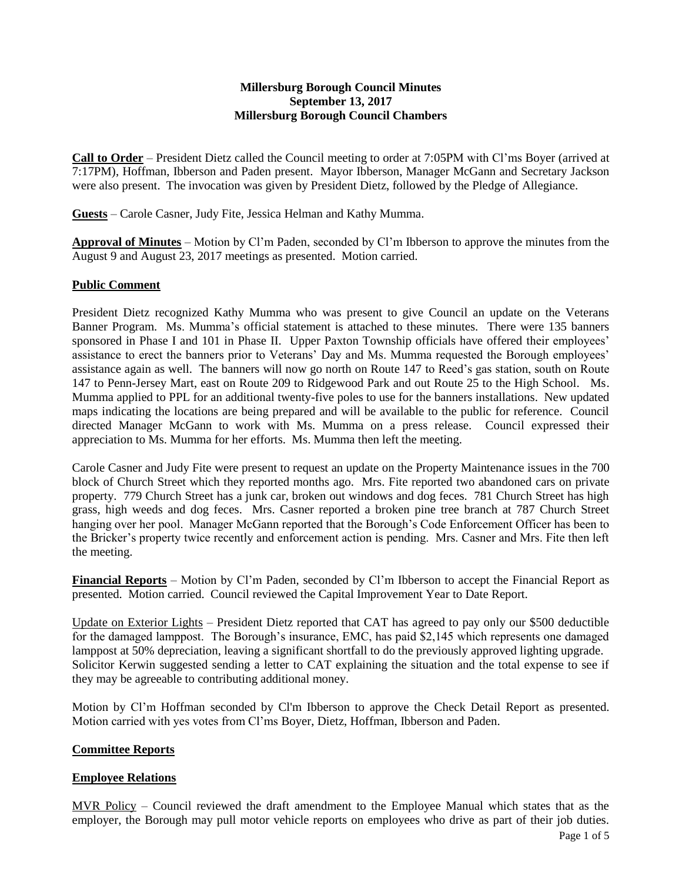### **Millersburg Borough Council Minutes September 13, 2017 Millersburg Borough Council Chambers**

**Call to Order** – President Dietz called the Council meeting to order at 7:05PM with Cl'ms Boyer (arrived at 7:17PM), Hoffman, Ibberson and Paden present. Mayor Ibberson, Manager McGann and Secretary Jackson were also present. The invocation was given by President Dietz, followed by the Pledge of Allegiance.

**Guests** – Carole Casner, Judy Fite, Jessica Helman and Kathy Mumma.

**Approval of Minutes** – Motion by Cl'm Paden, seconded by Cl'm Ibberson to approve the minutes from the August 9 and August 23, 2017 meetings as presented. Motion carried.

### **Public Comment**

President Dietz recognized Kathy Mumma who was present to give Council an update on the Veterans Banner Program. Ms. Mumma's official statement is attached to these minutes. There were 135 banners sponsored in Phase I and 101 in Phase II. Upper Paxton Township officials have offered their employees' assistance to erect the banners prior to Veterans' Day and Ms. Mumma requested the Borough employees' assistance again as well. The banners will now go north on Route 147 to Reed's gas station, south on Route 147 to Penn-Jersey Mart, east on Route 209 to Ridgewood Park and out Route 25 to the High School. Ms. Mumma applied to PPL for an additional twenty-five poles to use for the banners installations. New updated maps indicating the locations are being prepared and will be available to the public for reference. Council directed Manager McGann to work with Ms. Mumma on a press release. Council expressed their appreciation to Ms. Mumma for her efforts. Ms. Mumma then left the meeting.

Carole Casner and Judy Fite were present to request an update on the Property Maintenance issues in the 700 block of Church Street which they reported months ago. Mrs. Fite reported two abandoned cars on private property. 779 Church Street has a junk car, broken out windows and dog feces. 781 Church Street has high grass, high weeds and dog feces. Mrs. Casner reported a broken pine tree branch at 787 Church Street hanging over her pool. Manager McGann reported that the Borough's Code Enforcement Officer has been to the Bricker's property twice recently and enforcement action is pending. Mrs. Casner and Mrs. Fite then left the meeting.

**Financial Reports** – Motion by Cl'm Paden, seconded by Cl'm Ibberson to accept the Financial Report as presented. Motion carried. Council reviewed the Capital Improvement Year to Date Report.

Update on Exterior Lights – President Dietz reported that CAT has agreed to pay only our \$500 deductible for the damaged lamppost. The Borough's insurance, EMC, has paid \$2,145 which represents one damaged lamppost at 50% depreciation, leaving a significant shortfall to do the previously approved lighting upgrade. Solicitor Kerwin suggested sending a letter to CAT explaining the situation and the total expense to see if they may be agreeable to contributing additional money.

Motion by Cl'm Hoffman seconded by Cl'm Ibberson to approve the Check Detail Report as presented. Motion carried with yes votes from Cl'ms Boyer, Dietz, Hoffman, Ibberson and Paden.

### **Committee Reports**

### **Employee Relations**

MVR Policy – Council reviewed the draft amendment to the Employee Manual which states that as the employer, the Borough may pull motor vehicle reports on employees who drive as part of their job duties.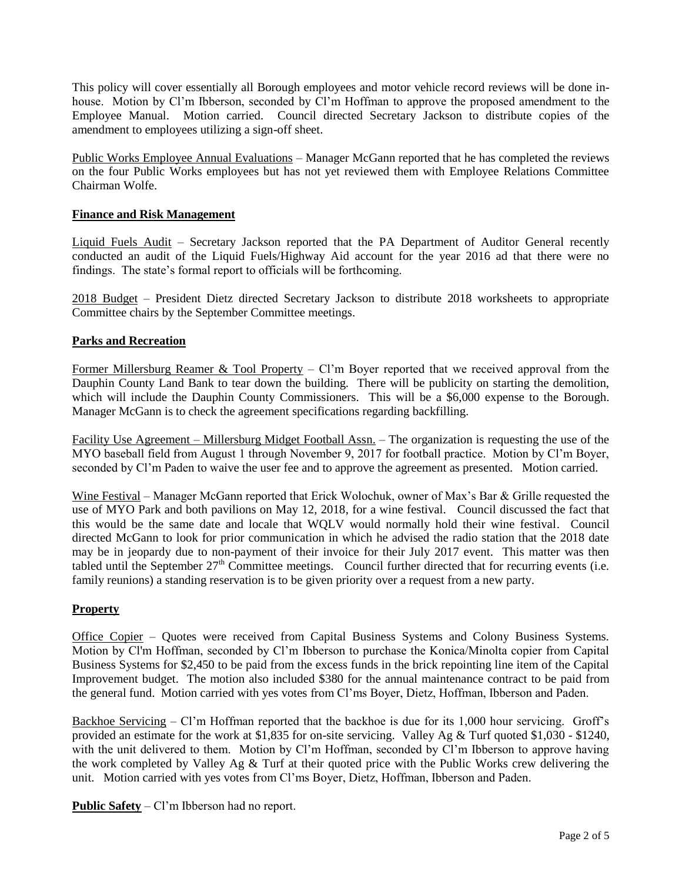This policy will cover essentially all Borough employees and motor vehicle record reviews will be done inhouse. Motion by Cl'm Ibberson, seconded by Cl'm Hoffman to approve the proposed amendment to the Employee Manual. Motion carried. Council directed Secretary Jackson to distribute copies of the amendment to employees utilizing a sign-off sheet.

Public Works Employee Annual Evaluations – Manager McGann reported that he has completed the reviews on the four Public Works employees but has not yet reviewed them with Employee Relations Committee Chairman Wolfe.

# **Finance and Risk Management**

Liquid Fuels Audit – Secretary Jackson reported that the PA Department of Auditor General recently conducted an audit of the Liquid Fuels/Highway Aid account for the year 2016 ad that there were no findings. The state's formal report to officials will be forthcoming.

2018 Budget – President Dietz directed Secretary Jackson to distribute 2018 worksheets to appropriate Committee chairs by the September Committee meetings.

# **Parks and Recreation**

Former Millersburg Reamer & Tool Property – Cl'm Boyer reported that we received approval from the Dauphin County Land Bank to tear down the building. There will be publicity on starting the demolition, which will include the Dauphin County Commissioners. This will be a \$6,000 expense to the Borough. Manager McGann is to check the agreement specifications regarding backfilling.

Facility Use Agreement – Millersburg Midget Football Assn. – The organization is requesting the use of the MYO baseball field from August 1 through November 9, 2017 for football practice. Motion by Cl'm Boyer, seconded by Cl'm Paden to waive the user fee and to approve the agreement as presented. Motion carried.

Wine Festival – Manager McGann reported that Erick Wolochuk, owner of Max's Bar & Grille requested the use of MYO Park and both pavilions on May 12, 2018, for a wine festival. Council discussed the fact that this would be the same date and locale that WQLV would normally hold their wine festival. Council directed McGann to look for prior communication in which he advised the radio station that the 2018 date may be in jeopardy due to non-payment of their invoice for their July 2017 event. This matter was then tabled until the September  $27<sup>th</sup>$  Committee meetings. Council further directed that for recurring events (i.e. family reunions) a standing reservation is to be given priority over a request from a new party.

### **Property**

Office Copier – Quotes were received from Capital Business Systems and Colony Business Systems. Motion by Cl'm Hoffman, seconded by Cl'm Ibberson to purchase the Konica/Minolta copier from Capital Business Systems for \$2,450 to be paid from the excess funds in the brick repointing line item of the Capital Improvement budget. The motion also included \$380 for the annual maintenance contract to be paid from the general fund. Motion carried with yes votes from Cl'ms Boyer, Dietz, Hoffman, Ibberson and Paden.

Backhoe Servicing – Cl'm Hoffman reported that the backhoe is due for its 1,000 hour servicing. Groff's provided an estimate for the work at \$1,835 for on-site servicing. Valley Ag & Turf quoted \$1,030 - \$1240, with the unit delivered to them. Motion by Cl'm Hoffman, seconded by Cl'm Ibberson to approve having the work completed by Valley Ag & Turf at their quoted price with the Public Works crew delivering the unit. Motion carried with yes votes from Cl'ms Boyer, Dietz, Hoffman, Ibberson and Paden.

**Public Safety** – Cl'm Ibberson had no report.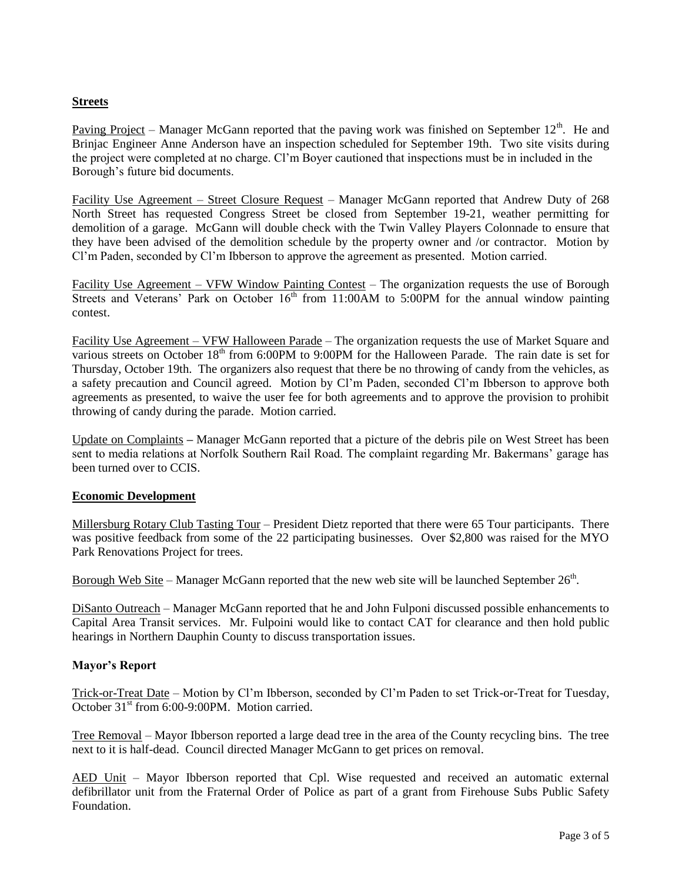# **Streets**

Paving Project – Manager McGann reported that the paving work was finished on September  $12<sup>th</sup>$ . He and Brinjac Engineer Anne Anderson have an inspection scheduled for September 19th. Two site visits during the project were completed at no charge. Cl'm Boyer cautioned that inspections must be in included in the Borough's future bid documents.

Facility Use Agreement – Street Closure Request – Manager McGann reported that Andrew Duty of 268 North Street has requested Congress Street be closed from September 19-21, weather permitting for demolition of a garage. McGann will double check with the Twin Valley Players Colonnade to ensure that they have been advised of the demolition schedule by the property owner and /or contractor. Motion by Cl'm Paden, seconded by Cl'm Ibberson to approve the agreement as presented. Motion carried.

Facility Use Agreement – VFW Window Painting Contest – The organization requests the use of Borough Streets and Veterans' Park on October  $16<sup>th</sup>$  from 11:00AM to 5:00PM for the annual window painting contest.

Facility Use Agreement – VFW Halloween Parade – The organization requests the use of Market Square and various streets on October 18<sup>th</sup> from 6:00PM to 9:00PM for the Halloween Parade. The rain date is set for Thursday, October 19th. The organizers also request that there be no throwing of candy from the vehicles, as a safety precaution and Council agreed. Motion by Cl'm Paden, seconded Cl'm Ibberson to approve both agreements as presented, to waive the user fee for both agreements and to approve the provision to prohibit throwing of candy during the parade. Motion carried.

Update on Complaints **–** Manager McGann reported that a picture of the debris pile on West Street has been sent to media relations at Norfolk Southern Rail Road. The complaint regarding Mr. Bakermans' garage has been turned over to CCIS.

# **Economic Development**

Millersburg Rotary Club Tasting Tour – President Dietz reported that there were 65 Tour participants. There was positive feedback from some of the 22 participating businesses. Over \$2,800 was raised for the MYO Park Renovations Project for trees.

Borough Web Site – Manager McGann reported that the new web site will be launched September  $26<sup>th</sup>$ .

DiSanto Outreach – Manager McGann reported that he and John Fulponi discussed possible enhancements to Capital Area Transit services. Mr. Fulpoini would like to contact CAT for clearance and then hold public hearings in Northern Dauphin County to discuss transportation issues.

### **Mayor's Report**

Trick-or-Treat Date – Motion by Cl'm Ibberson, seconded by Cl'm Paden to set Trick-or-Treat for Tuesday, October 31<sup>st</sup> from 6:00-9:00PM. Motion carried.

Tree Removal – Mayor Ibberson reported a large dead tree in the area of the County recycling bins. The tree next to it is half-dead. Council directed Manager McGann to get prices on removal.

AED Unit – Mayor Ibberson reported that Cpl. Wise requested and received an automatic external defibrillator unit from the Fraternal Order of Police as part of a grant from Firehouse Subs Public Safety Foundation.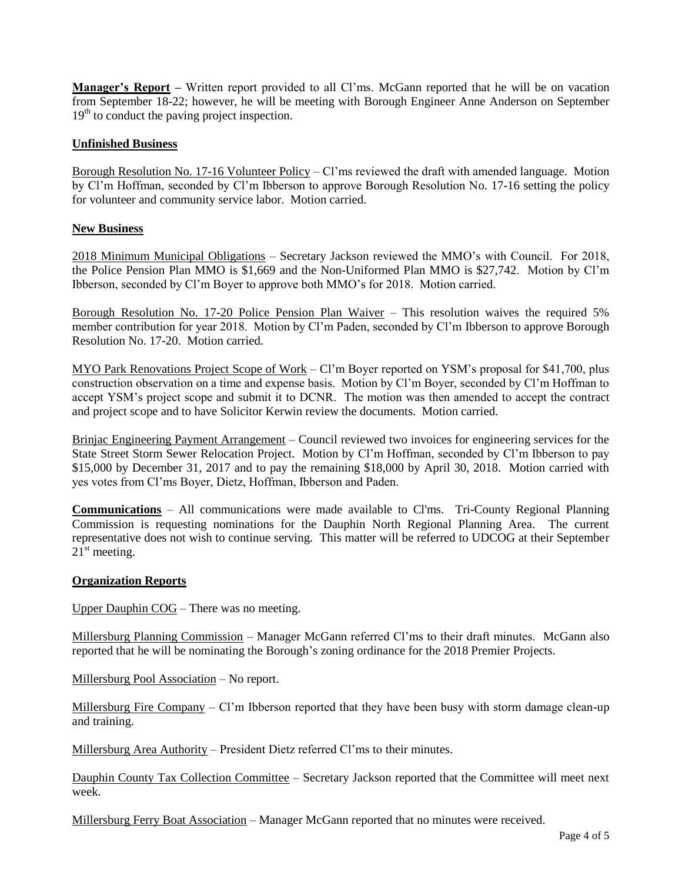**Manager's Report –** Written report provided to all Cl'ms. McGann reported that he will be on vacation from September 18-22; however, he will be meeting with Borough Engineer Anne Anderson on September  $19<sup>th</sup>$  to conduct the paving project inspection.

### **Unfinished Business**

Borough Resolution No. 17-16 Volunteer Policy – Cl'ms reviewed the draft with amended language. Motion by Cl'm Hoffman, seconded by Cl'm Ibberson to approve Borough Resolution No. 17-16 setting the policy for volunteer and community service labor. Motion carried.

### **New Business**

2018 Minimum Municipal Obligations – Secretary Jackson reviewed the MMO's with Council. For 2018, the Police Pension Plan MMO is \$1,669 and the Non-Uniformed Plan MMO is \$27,742. Motion by Cl'm Ibberson, seconded by Cl'm Boyer to approve both MMO's for 2018. Motion carried.

Borough Resolution No. 17-20 Police Pension Plan Waiver – This resolution waives the required 5% member contribution for year 2018. Motion by Cl'm Paden, seconded by Cl'm Ibberson to approve Borough Resolution No. 17-20. Motion carried.

MYO Park Renovations Project Scope of Work – Cl'm Boyer reported on YSM's proposal for \$41,700, plus construction observation on a time and expense basis. Motion by Cl'm Boyer, seconded by Cl'm Hoffman to accept YSM's project scope and submit it to DCNR. The motion was then amended to accept the contract and project scope and to have Solicitor Kerwin review the documents. Motion carried.

Brinjac Engineering Payment Arrangement – Council reviewed two invoices for engineering services for the State Street Storm Sewer Relocation Project. Motion by Cl'm Hoffman, seconded by Cl'm Ibberson to pay \$15,000 by December 31, 2017 and to pay the remaining \$18,000 by April 30, 2018. Motion carried with yes votes from Cl'ms Boyer, Dietz, Hoffman, Ibberson and Paden.

**Communications** – All communications were made available to Cl'ms. Tri-County Regional Planning Commission is requesting nominations for the Dauphin North Regional Planning Area. The current representative does not wish to continue serving. This matter will be referred to UDCOG at their September  $21<sup>st</sup>$  meeting.

### **Organization Reports**

Upper Dauphin COG – There was no meeting.

Millersburg Planning Commission – Manager McGann referred Cl'ms to their draft minutes. McGann also reported that he will be nominating the Borough's zoning ordinance for the 2018 Premier Projects.

Millersburg Pool Association – No report.

Millersburg Fire Company – Cl'm Ibberson reported that they have been busy with storm damage clean-up and training.

Millersburg Area Authority – President Dietz referred Cl'ms to their minutes.

Dauphin County Tax Collection Committee – Secretary Jackson reported that the Committee will meet next week.

Millersburg Ferry Boat Association – Manager McGann reported that no minutes were received.